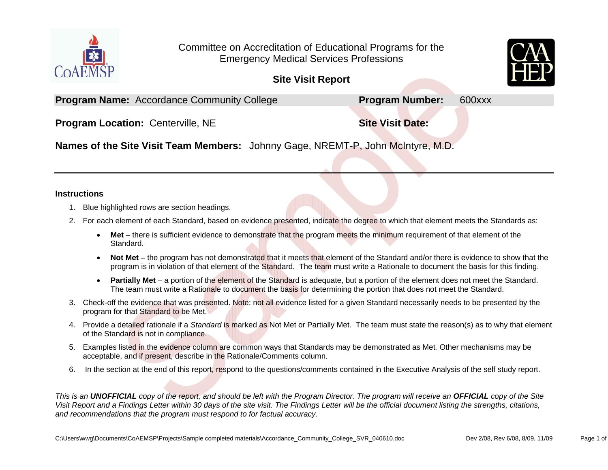

Committee on Accreditation of Educational Programs for the Emergency Medical Services Professions

**Site Visit Report** 

**Program Name:** Accordance Community College **Program Number:** 600xxx

**Program Location: Centerville, NE and Site Visit Date: Site Visit Date:** 

**Names of the Site Visit Team Members:** Johnny Gage, NREMT-P, John McIntyre, M.D.

#### **Instructions**

- 1. Blue highlighted rows are section headings.
- 2. For each element of each Standard, based on evidence presented, indicate the degree to which that element meets the Standards as:
	- **Met** there is sufficient evidence to demonstrate that the program meets the minimum requirement of that element of the Standard.
	- c **Not Met** – the program has not demonstrated that it meets that element of the Standard and/or there is evidence to show that the program is in violation of that element of the Standard. The team must write a Rationale to document the basis for this finding.
	- **Partially Met** a portion of the element of the Standard is adequate, but a portion of the element does not meet the Standard. The team must write a Rationale to document the basis for determining the portion that does not meet the Standard.
- 3. Check-off the evidence that was presented. Note: not all evidence listed for a given Standard necessarily needs to be presented by the program for that Standard to be Met.
- 4. Provide a detailed rationale if a *Standard* is marked as Not Met or Partially Met. The team must state the reason(s) as to why that element of the Standard is not in compliance.
- 5. Examples listed in the evidence column are common ways that Standards may be demonstrated as Met*.* Other mechanisms may be acceptable, and if present, describe in the Rationale/Comments column.
- 6. In the section at the end of this report, respond to the questions/comments contained in the Executive Analysis of the self study report.

*This is an UNOFFICIAL copy of the report, and should be left with the Program Director. The program will receive an OFFICIAL copy of the Site Visit Report and a Findings Letter within 30 days of the site visit. The Findings Letter will be the official document listing the strengths, citations, and recommendations that the program must respond to for factual accuracy.*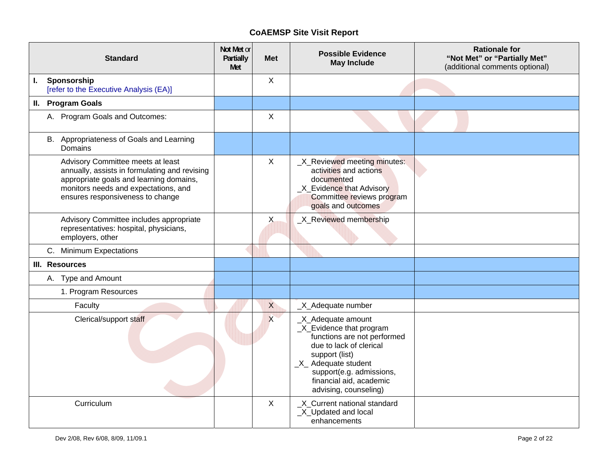|    | <b>Standard</b>                                                                                                                                                                                           | Not Met or<br>Partially<br>Met | <b>Met</b>   | <b>Possible Evidence</b><br><b>May Include</b>                                                                                                                                                                                     | <b>Rationale for</b><br>"Not Met" or "Partially Met"<br>(additional comments optional) |
|----|-----------------------------------------------------------------------------------------------------------------------------------------------------------------------------------------------------------|--------------------------------|--------------|------------------------------------------------------------------------------------------------------------------------------------------------------------------------------------------------------------------------------------|----------------------------------------------------------------------------------------|
| L. | Sponsorship<br>[refer to the Executive Analysis (EA)]                                                                                                                                                     |                                | $\sf X$      |                                                                                                                                                                                                                                    |                                                                                        |
|    | II. Program Goals                                                                                                                                                                                         |                                |              |                                                                                                                                                                                                                                    |                                                                                        |
|    | A. Program Goals and Outcomes:                                                                                                                                                                            |                                | $\sf X$      |                                                                                                                                                                                                                                    |                                                                                        |
|    | B. Appropriateness of Goals and Learning<br>Domains                                                                                                                                                       |                                |              |                                                                                                                                                                                                                                    |                                                                                        |
|    | Advisory Committee meets at least<br>annually, assists in formulating and revising<br>appropriate goals and learning domains,<br>monitors needs and expectations, and<br>ensures responsiveness to change |                                | $\sf X$      | _X_Reviewed meeting minutes:<br>activities and actions<br>documented<br>_X_Evidence that Advisory<br>Committee reviews program<br>goals and outcomes                                                                               |                                                                                        |
|    | Advisory Committee includes appropriate<br>representatives: hospital, physicians,<br>employers, other                                                                                                     |                                | X            | _X_Reviewed membership                                                                                                                                                                                                             |                                                                                        |
|    | C. Minimum Expectations                                                                                                                                                                                   |                                |              |                                                                                                                                                                                                                                    |                                                                                        |
|    | III. Resources                                                                                                                                                                                            |                                |              |                                                                                                                                                                                                                                    |                                                                                        |
|    | A. Type and Amount                                                                                                                                                                                        |                                |              |                                                                                                                                                                                                                                    |                                                                                        |
|    | 1. Program Resources                                                                                                                                                                                      |                                |              |                                                                                                                                                                                                                                    |                                                                                        |
|    | Faculty                                                                                                                                                                                                   |                                | X            | _X_Adequate number                                                                                                                                                                                                                 |                                                                                        |
|    | Clerical/support staff                                                                                                                                                                                    |                                | x            | _X_Adequate amount<br>_X_Evidence that program<br>functions are not performed<br>due to lack of clerical<br>support (list)<br>$X$ Adequate student<br>support(e.g. admissions,<br>financial aid, academic<br>advising, counseling) |                                                                                        |
|    | Curriculum                                                                                                                                                                                                |                                | $\mathsf{X}$ | _X_Current national standard<br>_X_Updated and local<br>enhancements                                                                                                                                                               |                                                                                        |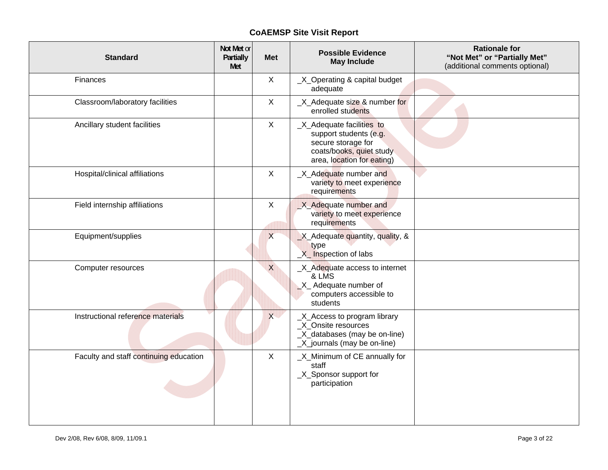| <b>Standard</b>                        | Not Met or<br>Partially<br>Met | <b>Met</b>   | <b>Possible Evidence</b><br><b>May Include</b>                                                                                      | <b>Rationale for</b><br>"Not Met" or "Partially Met"<br>(additional comments optional) |
|----------------------------------------|--------------------------------|--------------|-------------------------------------------------------------------------------------------------------------------------------------|----------------------------------------------------------------------------------------|
| Finances                               |                                | X            | _X_Operating & capital budget<br>adequate                                                                                           |                                                                                        |
| Classroom/laboratory facilities        |                                | $\mathsf{X}$ | X_Adequate size & number for<br>enrolled students                                                                                   |                                                                                        |
| Ancillary student facilities           |                                | $\mathsf{X}$ | _X_Adequate facilities to<br>support students (e.g.<br>secure storage for<br>coats/books, quiet study<br>area, location for eating) |                                                                                        |
| Hospital/clinical affiliations         |                                | $\mathsf{X}$ | _X_Adequate number and<br>variety to meet experience<br>requirements                                                                |                                                                                        |
| Field internship affiliations          |                                | X            | X_Adequate number and<br>variety to meet experience<br>requirements                                                                 |                                                                                        |
| Equipment/supplies                     |                                | $\times$     | X_Adequate quantity, quality, &<br>type<br>X_Inspection of labs                                                                     |                                                                                        |
| Computer resources                     |                                | X            | _X_Adequate access to internet<br>& LMS<br>X_ Adequate number of<br>computers accessible to<br>students                             |                                                                                        |
| Instructional reference materials      |                                | x            | _X_Access to program library<br>_X_Onsite resources<br>_X_databases (may be on-line)<br>_X_journals (may be on-line)                |                                                                                        |
| Faculty and staff continuing education |                                | $\mathsf{X}$ | _X_Minimum of CE annually for<br>staff<br>_X_Sponsor support for<br>participation                                                   |                                                                                        |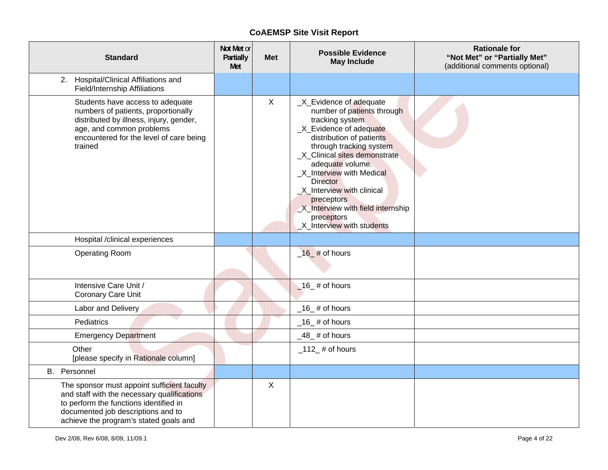| <b>Standard</b>                                                                                                                                                                                                      | Not Met or<br>Partially<br>Met | <b>Met</b>   | <b>Possible Evidence</b><br><b>May Include</b>                                                                                                                                                                                                                                                                                                                                                    | <b>Rationale for</b><br>"Not Met" or "Partially Met"<br>(additional comments optional) |
|----------------------------------------------------------------------------------------------------------------------------------------------------------------------------------------------------------------------|--------------------------------|--------------|---------------------------------------------------------------------------------------------------------------------------------------------------------------------------------------------------------------------------------------------------------------------------------------------------------------------------------------------------------------------------------------------------|----------------------------------------------------------------------------------------|
| 2. Hospital/Clinical Affiliations and<br><b>Field/Internship Affiliations</b>                                                                                                                                        |                                |              |                                                                                                                                                                                                                                                                                                                                                                                                   |                                                                                        |
| Students have access to adequate<br>numbers of patients, proportionally<br>distributed by illness, injury, gender,<br>age, and common problems<br>encountered for the level of care being<br>trained                 |                                | $\mathsf{X}$ | _X_Evidence of adequate<br>number of patients through<br>tracking system<br>_X_Evidence of adequate<br>distribution of patients<br>through tracking system<br>X Clinical sites demonstrate<br>adequate volume.<br>_X_Interview with Medical<br><b>Director</b><br>_X_Interview with clinical<br>preceptors<br><b>X_Interview with field internship</b><br>preceptors<br>X_Interview with students |                                                                                        |
| Hospital /clinical experiences                                                                                                                                                                                       |                                |              |                                                                                                                                                                                                                                                                                                                                                                                                   |                                                                                        |
| <b>Operating Room</b>                                                                                                                                                                                                |                                |              | $-16$ # of hours                                                                                                                                                                                                                                                                                                                                                                                  |                                                                                        |
| Intensive Care Unit /<br>Coronary Care Unit                                                                                                                                                                          |                                |              | $16$ # of hours                                                                                                                                                                                                                                                                                                                                                                                   |                                                                                        |
| Labor and Delivery                                                                                                                                                                                                   |                                |              | $\_16\_$ # of hours                                                                                                                                                                                                                                                                                                                                                                               |                                                                                        |
| Pediatrics                                                                                                                                                                                                           |                                |              | $\_16\_$ # of hours                                                                                                                                                                                                                                                                                                                                                                               |                                                                                        |
| <b>Emergency Department</b>                                                                                                                                                                                          |                                |              | $-48$ # of hours                                                                                                                                                                                                                                                                                                                                                                                  |                                                                                        |
| Other<br>[please specify in Rationale column]                                                                                                                                                                        |                                |              | $\_112$ # of hours                                                                                                                                                                                                                                                                                                                                                                                |                                                                                        |
| B. Personnel                                                                                                                                                                                                         |                                |              |                                                                                                                                                                                                                                                                                                                                                                                                   |                                                                                        |
| The sponsor must appoint sufficient faculty<br>and staff with the necessary qualifications<br>to perform the functions identified in<br>documented job descriptions and to<br>achieve the program's stated goals and |                                | $\mathsf{X}$ |                                                                                                                                                                                                                                                                                                                                                                                                   |                                                                                        |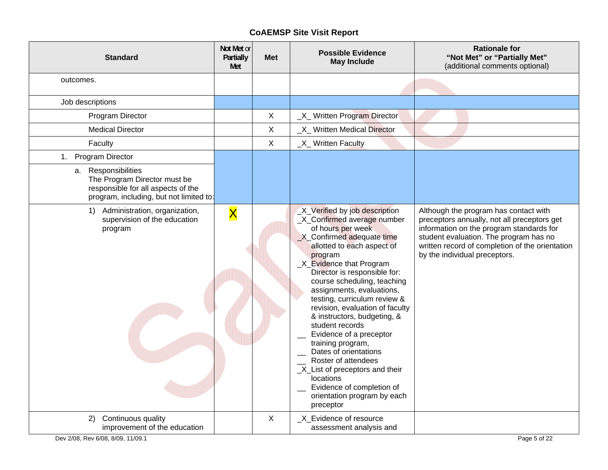| <b>Standard</b>                                                                                                                      | Not Met or<br>Partially<br>Met | <b>Met</b>     | <b>Possible Evidence</b><br><b>May Include</b>                                                                                                                                                                                                                                                                                                                                                                                                                                                                                                                                                                                 | <b>Rationale for</b><br>"Not Met" or "Partially Met"<br>(additional comments optional)                                                                                                                                                                         |
|--------------------------------------------------------------------------------------------------------------------------------------|--------------------------------|----------------|--------------------------------------------------------------------------------------------------------------------------------------------------------------------------------------------------------------------------------------------------------------------------------------------------------------------------------------------------------------------------------------------------------------------------------------------------------------------------------------------------------------------------------------------------------------------------------------------------------------------------------|----------------------------------------------------------------------------------------------------------------------------------------------------------------------------------------------------------------------------------------------------------------|
| outcomes.                                                                                                                            |                                |                |                                                                                                                                                                                                                                                                                                                                                                                                                                                                                                                                                                                                                                |                                                                                                                                                                                                                                                                |
| Job descriptions                                                                                                                     |                                |                |                                                                                                                                                                                                                                                                                                                                                                                                                                                                                                                                                                                                                                |                                                                                                                                                                                                                                                                |
| Program Director                                                                                                                     |                                | $\pmb{\times}$ | _X_ Written Program Director                                                                                                                                                                                                                                                                                                                                                                                                                                                                                                                                                                                                   |                                                                                                                                                                                                                                                                |
| <b>Medical Director</b>                                                                                                              |                                | X              | X Written Medical Director                                                                                                                                                                                                                                                                                                                                                                                                                                                                                                                                                                                                     |                                                                                                                                                                                                                                                                |
| Faculty                                                                                                                              |                                | $\mathsf X$    | _X_ Written Faculty                                                                                                                                                                                                                                                                                                                                                                                                                                                                                                                                                                                                            |                                                                                                                                                                                                                                                                |
| 1. Program Director                                                                                                                  |                                |                |                                                                                                                                                                                                                                                                                                                                                                                                                                                                                                                                                                                                                                |                                                                                                                                                                                                                                                                |
| a. Responsibilities<br>The Program Director must be<br>responsible for all aspects of the<br>program, including, but not limited to: |                                |                |                                                                                                                                                                                                                                                                                                                                                                                                                                                                                                                                                                                                                                |                                                                                                                                                                                                                                                                |
| 1) Administration, organization,<br>supervision of the education<br>program                                                          | $\overline{\mathsf{X}}$        |                | _X_Verified by job description<br>_X_Confirmed average number<br>of hours per week<br>X_Confirmed adequate time<br>allotted to each aspect of<br>program<br>_X_Evidence that Program<br>Director is responsible for:<br>course scheduling, teaching<br>assignments, evaluations,<br>testing, curriculum review &<br>revision, evaluation of faculty<br>& instructors, budgeting, &<br>student records<br>Evidence of a preceptor<br>training program,<br>Dates of orientations<br>Roster of attendees<br>_X_List of preceptors and their<br>locations<br>Evidence of completion of<br>orientation program by each<br>preceptor | Although the program has contact with<br>preceptors annually, not all preceptors get<br>information on the program standards for<br>student evaluation. The program has no<br>written record of completion of the orientation<br>by the individual preceptors. |
| Continuous quality<br>2)<br>improvement of the education                                                                             |                                | X              | _X_Evidence of resource<br>assessment analysis and                                                                                                                                                                                                                                                                                                                                                                                                                                                                                                                                                                             |                                                                                                                                                                                                                                                                |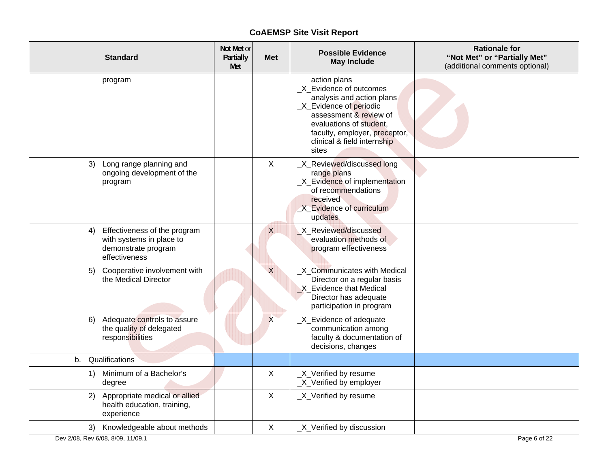| <b>Standard</b>                                                                                        | Not Met or<br>Partially<br>Met | <b>Met</b> | <b>Possible Evidence</b><br><b>May Include</b>                                                                                                                                                                                | <b>Rationale for</b><br>"Not Met" or "Partially Met"<br>(additional comments optional) |
|--------------------------------------------------------------------------------------------------------|--------------------------------|------------|-------------------------------------------------------------------------------------------------------------------------------------------------------------------------------------------------------------------------------|----------------------------------------------------------------------------------------|
| program                                                                                                |                                |            | action plans<br>_X_Evidence of outcomes<br>analysis and action plans<br>_X_Evidence of periodic<br>assessment & review of<br>evaluations of student,<br>faculty, employer, preceptor,<br>clinical & field internship<br>sites |                                                                                        |
| Long range planning and<br>3)<br>ongoing development of the<br>program                                 |                                | X          | _X_Reviewed/discussed long<br>range plans<br>_X_Evidence of implementation<br>of recommendations<br>received<br>X Evidence of curriculum<br>updates                                                                           |                                                                                        |
| Effectiveness of the program<br>4)<br>with systems in place to<br>demonstrate program<br>effectiveness |                                | $\times$   | X_Reviewed/discussed<br>evaluation methods of<br>program effectiveness                                                                                                                                                        |                                                                                        |
| Cooperative involvement with<br>5)<br>the Medical Director                                             |                                | $\times$   | _X_Communicates with Medical<br>Director on a regular basis<br>X_Evidence that Medical<br>Director has adequate<br>participation in program                                                                                   |                                                                                        |
| 6) Adequate controls to assure<br>the quality of delegated<br>responsibilities                         |                                | X          | _X_Evidence of adequate<br>communication among<br>faculty & documentation of<br>decisions, changes                                                                                                                            |                                                                                        |
| Qualifications<br>b.                                                                                   |                                |            |                                                                                                                                                                                                                               |                                                                                        |
| 1) Minimum of a Bachelor's<br>degree                                                                   |                                | X          | _X_Verified by resume<br>_X_Verified by employer                                                                                                                                                                              |                                                                                        |
| Appropriate medical or allied<br>2)<br>health education, training,<br>experience                       |                                | X          | _X_Verified by resume                                                                                                                                                                                                         |                                                                                        |
| 3) Knowledgeable about methods                                                                         |                                | X          | _X_Verified by discussion                                                                                                                                                                                                     |                                                                                        |
| Dev 2/08, Rev 6/08, 8/09, 11/09.1                                                                      |                                |            |                                                                                                                                                                                                                               | Page 6 of 22                                                                           |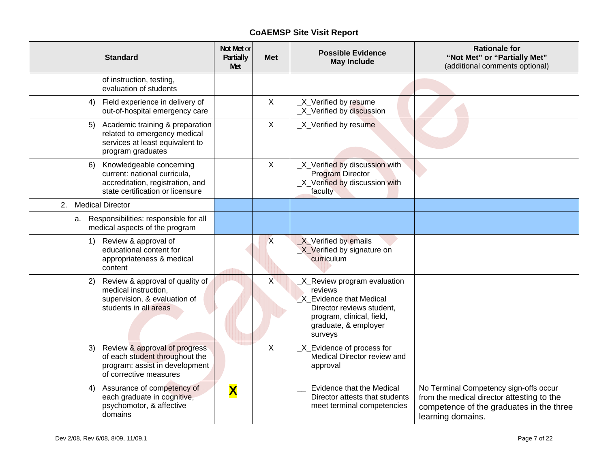| <b>Standard</b>                                                                                                                        | Not Met or<br>Partially<br>Met | <b>Met</b>       | <b>Possible Evidence</b><br><b>May Include</b>                                                                                                                  | <b>Rationale for</b><br>"Not Met" or "Partially Met"<br>(additional comments optional)                                                                |
|----------------------------------------------------------------------------------------------------------------------------------------|--------------------------------|------------------|-----------------------------------------------------------------------------------------------------------------------------------------------------------------|-------------------------------------------------------------------------------------------------------------------------------------------------------|
| of instruction, testing,<br>evaluation of students                                                                                     |                                |                  |                                                                                                                                                                 |                                                                                                                                                       |
| Field experience in delivery of<br>4)<br>out-of-hospital emergency care                                                                |                                | $\mathsf{X}$     | X_Verified by resume<br>_X_Verified by discussion                                                                                                               |                                                                                                                                                       |
| Academic training & preparation<br>5)<br>related to emergency medical<br>services at least equivalent to<br>program graduates          |                                | $\sf X$          | _X_Verified by resume                                                                                                                                           |                                                                                                                                                       |
| Knowledgeable concerning<br>6)<br>current: national curricula,<br>accreditation, registration, and<br>state certification or licensure |                                | $\sf X$          | _X_Verified by discussion with<br>Program Director<br>_X_Verified by discussion with<br>faculty                                                                 |                                                                                                                                                       |
| 2. Medical Director                                                                                                                    |                                |                  |                                                                                                                                                                 |                                                                                                                                                       |
| Responsibilities: responsible for all<br>а.<br>medical aspects of the program                                                          |                                |                  |                                                                                                                                                                 |                                                                                                                                                       |
| Review & approval of<br>1)<br>educational content for<br>appropriateness & medical<br>content                                          |                                | $\boldsymbol{X}$ | $X$ Verified by emails<br>X Verified by signature on<br>curriculum                                                                                              |                                                                                                                                                       |
| Review & approval of quality of<br>2)<br>medical instruction,<br>supervision, & evaluation of<br>students in all areas                 |                                | $\times$         | _X_Review program evaluation<br>reviews<br>X_Evidence that Medical<br>Director reviews student,<br>program, clinical, field,<br>graduate, & employer<br>surveys |                                                                                                                                                       |
| Review & approval of progress<br>3)<br>of each student throughout the<br>program: assist in development<br>of corrective measures      |                                | X                | _X_Evidence of process for<br>Medical Director review and<br>approval                                                                                           |                                                                                                                                                       |
| Assurance of competency of<br>4)<br>each graduate in cognitive,<br>psychomotor, & affective<br>domains                                 | $\overline{\textbf{X}}$        |                  | <b>Evidence that the Medical</b><br>Director attests that students<br>meet terminal competencies                                                                | No Terminal Competency sign-offs occur<br>from the medical director attesting to the<br>competence of the graduates in the three<br>learning domains. |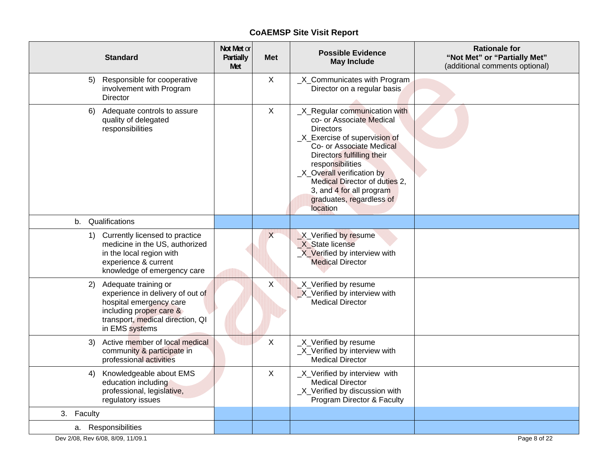| <b>Standard</b>                                                                                                                                                            | Not Met or<br>Partially<br>Met | Met          | <b>Possible Evidence</b><br><b>May Include</b>                                                                                                                                                                                                                                                                                  | <b>Rationale for</b><br>"Not Met" or "Partially Met"<br>(additional comments optional) |
|----------------------------------------------------------------------------------------------------------------------------------------------------------------------------|--------------------------------|--------------|---------------------------------------------------------------------------------------------------------------------------------------------------------------------------------------------------------------------------------------------------------------------------------------------------------------------------------|----------------------------------------------------------------------------------------|
| Responsible for cooperative<br>5)<br>involvement with Program<br>Director                                                                                                  |                                | X            | _X_Communicates with Program<br>Director on a regular basis                                                                                                                                                                                                                                                                     |                                                                                        |
| 6) Adequate controls to assure<br>quality of delegated<br>responsibilities                                                                                                 |                                | $\mathsf{X}$ | _X_Regular communication with<br>co- or Associate Medical<br><b>Directors</b><br>_X_Exercise of supervision of<br>Co- or Associate Medical<br>Directors fulfilling their<br>responsibilities<br>_X_Overall verification by<br>Medical Director of duties 2,<br>3, and 4 for all program<br>graduates, regardless of<br>location |                                                                                        |
| Qualifications<br>b.                                                                                                                                                       |                                |              |                                                                                                                                                                                                                                                                                                                                 |                                                                                        |
| 1) Currently licensed to practice<br>medicine in the US, authorized<br>in the local region with<br>experience & current<br>knowledge of emergency care                     |                                | X            | X_Verified by resume<br>X State license<br>X Verified by interview with<br><b>Medical Director</b>                                                                                                                                                                                                                              |                                                                                        |
| Adequate training or<br>2)<br>experience in delivery of out of<br>hospital emergency care<br>including proper care &<br>transport, medical direction, QI<br>in EMS systems |                                | X            | X_Verified by resume<br>X_Verified by interview with<br><b>Medical Director</b>                                                                                                                                                                                                                                                 |                                                                                        |
| Active member of local medical<br>3)<br>community & participate in<br>professional activities                                                                              |                                | X            | _X_Verified by resume<br>_X_Verified by interview with<br><b>Medical Director</b>                                                                                                                                                                                                                                               |                                                                                        |
| 4) Knowledgeable about EMS<br>education including<br>professional, legislative,<br>regulatory issues                                                                       |                                | X            | _X_Verified by interview with<br><b>Medical Director</b><br>_X_Verified by discussion with<br>Program Director & Faculty                                                                                                                                                                                                        |                                                                                        |
| 3. Faculty                                                                                                                                                                 |                                |              |                                                                                                                                                                                                                                                                                                                                 |                                                                                        |
| a. Responsibilities                                                                                                                                                        |                                |              |                                                                                                                                                                                                                                                                                                                                 |                                                                                        |
| Dev 2/08, Rev 6/08, 8/09, 11/09.1                                                                                                                                          |                                |              |                                                                                                                                                                                                                                                                                                                                 | Page 8 of 22                                                                           |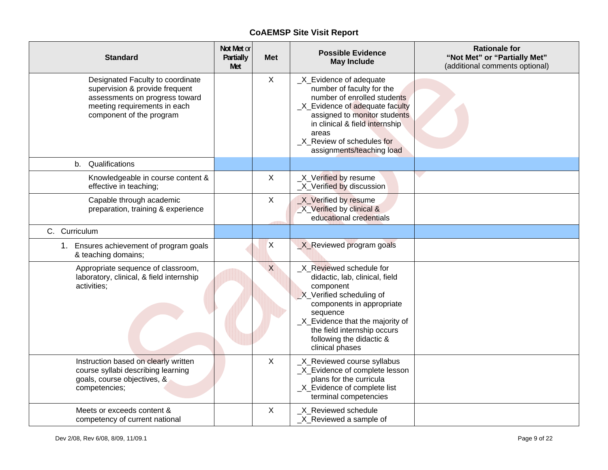| <b>Standard</b>                                                                                                                                                  | Not Met or<br>Partially<br>Met | <b>Met</b> | <b>Possible Evidence</b><br><b>May Include</b>                                                                                                                                                                                                                 | <b>Rationale for</b><br>"Not Met" or "Partially Met"<br>(additional comments optional) |
|------------------------------------------------------------------------------------------------------------------------------------------------------------------|--------------------------------|------------|----------------------------------------------------------------------------------------------------------------------------------------------------------------------------------------------------------------------------------------------------------------|----------------------------------------------------------------------------------------|
| Designated Faculty to coordinate<br>supervision & provide frequent<br>assessments on progress toward<br>meeting requirements in each<br>component of the program |                                | X          | _X_Evidence of adequate<br>number of faculty for the<br>number of enrolled students<br>_X_Evidence of adequate faculty<br>assigned to monitor students<br>in clinical & field internship<br>areas<br>_X_Review of schedules for<br>assignments/teaching load   |                                                                                        |
| b. Qualifications                                                                                                                                                |                                |            |                                                                                                                                                                                                                                                                |                                                                                        |
| Knowledgeable in course content &<br>effective in teaching;                                                                                                      |                                | X          | _X_Verified by resume<br>_X_Verified by discussion                                                                                                                                                                                                             |                                                                                        |
| Capable through academic<br>preparation, training & experience                                                                                                   |                                | X          | X_Verified by resume<br>X_Verified by clinical &<br>educational credentials                                                                                                                                                                                    |                                                                                        |
| C. Curriculum                                                                                                                                                    |                                |            |                                                                                                                                                                                                                                                                |                                                                                        |
| 1. Ensures achievement of program goals<br>& teaching domains;                                                                                                   |                                | X          | X Reviewed program goals                                                                                                                                                                                                                                       |                                                                                        |
| Appropriate sequence of classroom,<br>laboratory, clinical, & field internship<br>activities;                                                                    |                                | $\times$   | _X_Reviewed schedule for<br>didactic, lab, clinical, field<br>component<br>X_Verified scheduling of<br>components in appropriate<br>sequence<br>_X_Evidence that the majority of<br>the field internship occurs<br>following the didactic &<br>clinical phases |                                                                                        |
| Instruction based on clearly written<br>course syllabi describing learning<br>goals, course objectives, &<br>competencies;                                       |                                | X          | _X_Reviewed course syllabus<br>_X_Evidence of complete lesson<br>plans for the curricula<br>_X_Evidence of complete list<br>terminal competencies                                                                                                              |                                                                                        |
| Meets or exceeds content &<br>competency of current national                                                                                                     |                                | X          | _X_Reviewed schedule<br>X_Reviewed a sample of                                                                                                                                                                                                                 |                                                                                        |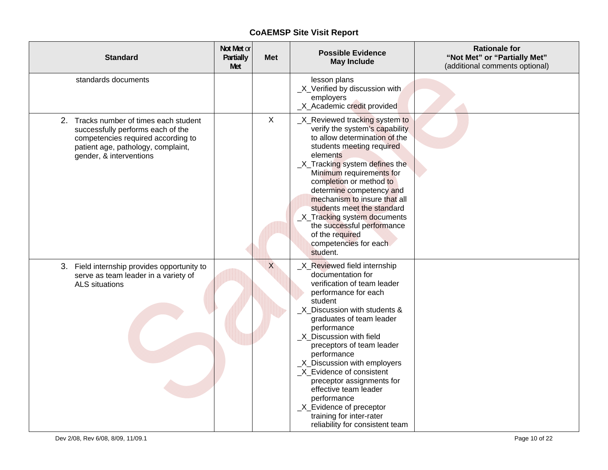| <b>Standard</b>                                                                                                                                                                    | Not Met or<br>Partially<br>Met | <b>Met</b>   | <b>Possible Evidence</b><br><b>May Include</b>                                                                                                                                                                                                                                                                                                                                                                                                                                                    | <b>Rationale for</b><br>"Not Met" or "Partially Met"<br>(additional comments optional) |
|------------------------------------------------------------------------------------------------------------------------------------------------------------------------------------|--------------------------------|--------------|---------------------------------------------------------------------------------------------------------------------------------------------------------------------------------------------------------------------------------------------------------------------------------------------------------------------------------------------------------------------------------------------------------------------------------------------------------------------------------------------------|----------------------------------------------------------------------------------------|
| standards documents                                                                                                                                                                |                                |              | lesson plans<br>_X_Verified by discussion with<br>employers<br>X Academic credit provided                                                                                                                                                                                                                                                                                                                                                                                                         |                                                                                        |
| 2. Tracks number of times each student<br>successfully performs each of the<br>competencies required according to<br>patient age, pathology, complaint,<br>gender, & interventions |                                | $\mathsf{X}$ | _X_Reviewed tracking system to<br>verify the system's capability<br>to allow determination of the<br>students meeting required<br>elements<br>_X_Tracking system defines the<br>Minimum requirements for<br>completion or method to<br>determine competency and<br>mechanism to insure that all<br>students meet the standard<br>X_Tracking system documents<br>the successful performance<br>of the required<br>competencies for each<br>student.                                                |                                                                                        |
| 3. Field internship provides opportunity to<br>serve as team leader in a variety of<br><b>ALS</b> situations                                                                       |                                | $\times$     | X_Reviewed field internship<br>documentation for<br>verification of team leader<br>performance for each<br>student<br>X_Discussion with students &<br>graduates of team leader<br>performance<br>X Discussion with field<br>preceptors of team leader<br>performance<br>_X_Discussion with employers<br>_X_Evidence of consistent<br>preceptor assignments for<br>effective team leader<br>performance<br>_X_Evidence of preceptor<br>training for inter-rater<br>reliability for consistent team |                                                                                        |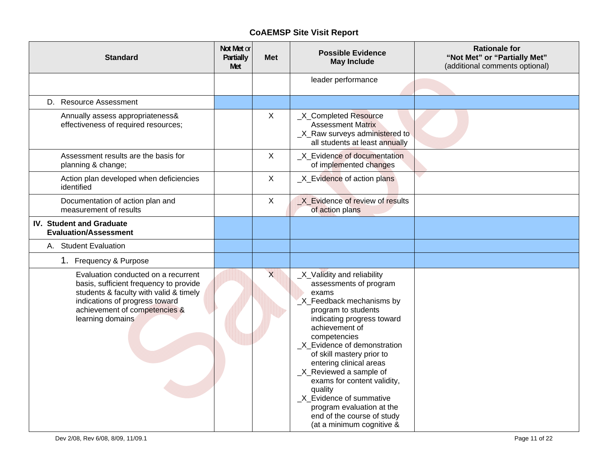| <b>Standard</b>                                                                                                                                                                                                | Not Met or<br>Partially<br>Met | <b>Met</b>   | <b>Possible Evidence</b><br><b>May Include</b>                                                                                                                                                                                                                                                                                                                                                                                                                     | <b>Rationale for</b><br>"Not Met" or "Partially Met"<br>(additional comments optional) |
|----------------------------------------------------------------------------------------------------------------------------------------------------------------------------------------------------------------|--------------------------------|--------------|--------------------------------------------------------------------------------------------------------------------------------------------------------------------------------------------------------------------------------------------------------------------------------------------------------------------------------------------------------------------------------------------------------------------------------------------------------------------|----------------------------------------------------------------------------------------|
|                                                                                                                                                                                                                |                                |              | leader performance                                                                                                                                                                                                                                                                                                                                                                                                                                                 |                                                                                        |
| D. Resource Assessment                                                                                                                                                                                         |                                |              |                                                                                                                                                                                                                                                                                                                                                                                                                                                                    |                                                                                        |
| Annually assess appropriateness&<br>effectiveness of required resources;                                                                                                                                       |                                | X            | _X_Completed Resource<br><b>Assessment Matrix</b><br>_X_Raw surveys administered to<br>all students at least annually                                                                                                                                                                                                                                                                                                                                              |                                                                                        |
| Assessment results are the basis for<br>planning & change;                                                                                                                                                     |                                | $\mathsf{X}$ | X_Evidence of documentation<br>of implemented changes                                                                                                                                                                                                                                                                                                                                                                                                              |                                                                                        |
| Action plan developed when deficiencies<br>identified                                                                                                                                                          |                                | $\mathsf{X}$ | _X_Evidence of action plans                                                                                                                                                                                                                                                                                                                                                                                                                                        |                                                                                        |
| Documentation of action plan and<br>measurement of results                                                                                                                                                     |                                | X            | X Evidence of review of results<br>of action plans                                                                                                                                                                                                                                                                                                                                                                                                                 |                                                                                        |
| IV. Student and Graduate<br><b>Evaluation/Assessment</b>                                                                                                                                                       |                                |              |                                                                                                                                                                                                                                                                                                                                                                                                                                                                    |                                                                                        |
| A. Student Evaluation                                                                                                                                                                                          |                                |              |                                                                                                                                                                                                                                                                                                                                                                                                                                                                    |                                                                                        |
| 1. Frequency & Purpose                                                                                                                                                                                         |                                |              |                                                                                                                                                                                                                                                                                                                                                                                                                                                                    |                                                                                        |
| Evaluation conducted on a recurrent<br>basis, sufficient frequency to provide<br>students & faculty with valid & timely<br>indications of progress toward<br>achievement of competencies &<br>learning domains |                                | $\mathsf{x}$ | _X_Validity and reliability<br>assessments of program<br>exams<br>X_Feedback mechanisms by<br>program to students<br>indicating progress toward<br>achievement of<br>competencies<br>_X_Evidence of demonstration<br>of skill mastery prior to<br>entering clinical areas<br>_X_Reviewed a sample of<br>exams for content validity,<br>quality<br>_X_Evidence of summative<br>program evaluation at the<br>end of the course of study<br>(at a minimum cognitive & |                                                                                        |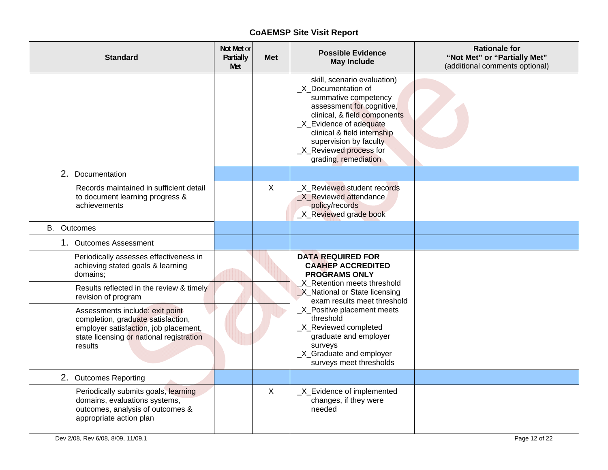| <b>Standard</b>                                                                                                                                                       | Not Met or<br>Partially<br>Met | Met          | <b>Possible Evidence</b><br><b>May Include</b>                                                                                                                                                                                                                                 | <b>Rationale for</b><br>"Not Met" or "Partially Met"<br>(additional comments optional) |
|-----------------------------------------------------------------------------------------------------------------------------------------------------------------------|--------------------------------|--------------|--------------------------------------------------------------------------------------------------------------------------------------------------------------------------------------------------------------------------------------------------------------------------------|----------------------------------------------------------------------------------------|
|                                                                                                                                                                       |                                |              | skill, scenario evaluation)<br>_X_Documentation of<br>summative competency<br>assessment for cognitive,<br>clinical, & field components<br>_X_Evidence of adequate<br>clinical & field internship<br>supervision by faculty<br>_X_Reviewed process for<br>grading, remediation |                                                                                        |
| 2. Documentation                                                                                                                                                      |                                |              |                                                                                                                                                                                                                                                                                |                                                                                        |
| Records maintained in sufficient detail<br>to document learning progress &<br>achievements                                                                            |                                | $\mathsf{X}$ | X Reviewed student records<br>X_Reviewed attendance<br>policy/records<br>_X_Reviewed grade book                                                                                                                                                                                |                                                                                        |
| <b>B.</b> Outcomes                                                                                                                                                    |                                |              |                                                                                                                                                                                                                                                                                |                                                                                        |
| 1. Outcomes Assessment                                                                                                                                                |                                |              |                                                                                                                                                                                                                                                                                |                                                                                        |
| Periodically assesses effectiveness in<br>achieving stated goals & learning<br>domains;                                                                               |                                |              | <b>DATA REQUIRED FOR</b><br><b>CAAHEP ACCREDITED</b><br><b>PROGRAMS ONLY</b>                                                                                                                                                                                                   |                                                                                        |
| Results reflected in the review & timely<br>revision of program                                                                                                       |                                |              | X Retention meets threshold<br>X_National or State licensing<br>exam results meet threshold                                                                                                                                                                                    |                                                                                        |
| Assessments include: exit point<br>completion, graduate satisfaction,<br>employer satisfaction, job placement,<br>state licensing or national registration<br>results |                                |              | _X_Positive placement meets<br>threshold<br>X_Reviewed completed<br>graduate and employer<br>surveys<br>_X_Graduate and employer<br>surveys meet thresholds                                                                                                                    |                                                                                        |
| 2. Outcomes Reporting                                                                                                                                                 |                                |              |                                                                                                                                                                                                                                                                                |                                                                                        |
| Periodically submits goals, learning<br>domains, evaluations systems,<br>outcomes, analysis of outcomes &<br>appropriate action plan                                  |                                | X            | _X_Evidence of implemented<br>changes, if they were<br>needed                                                                                                                                                                                                                  |                                                                                        |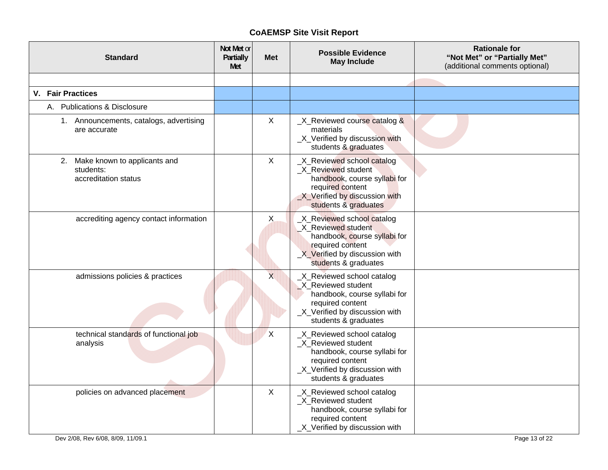| <b>Standard</b>                                                      | Not Met or<br>Partially<br>Met | <b>Met</b>                | <b>Possible Evidence</b><br><b>May Include</b>                                                                                                                 | <b>Rationale for</b><br>"Not Met" or "Partially Met"<br>(additional comments optional) |
|----------------------------------------------------------------------|--------------------------------|---------------------------|----------------------------------------------------------------------------------------------------------------------------------------------------------------|----------------------------------------------------------------------------------------|
|                                                                      |                                |                           |                                                                                                                                                                |                                                                                        |
| <b>V.</b> Fair Practices                                             |                                |                           |                                                                                                                                                                |                                                                                        |
| A. Publications & Disclosure                                         |                                |                           |                                                                                                                                                                |                                                                                        |
| 1. Announcements, catalogs, advertising<br>are accurate              |                                | $\sf X$                   | _X_Reviewed course catalog &<br>materials<br>_X_Verified by discussion with<br>students & graduates                                                            |                                                                                        |
| 2. Make known to applicants and<br>students:<br>accreditation status |                                | $\boldsymbol{\mathsf{X}}$ | _X_Reviewed school catalog<br>X Reviewed student<br>handbook, course syllabi for<br>required content<br>X Verified by discussion with<br>students & graduates  |                                                                                        |
| accrediting agency contact information                               |                                | X                         | X_Reviewed school catalog<br>X Reviewed student<br>handbook, course syllabi for<br>required content<br>X Verified by discussion with<br>students & graduates   |                                                                                        |
| admissions policies & practices                                      |                                | $\overline{X}$            | _X_Reviewed school catalog<br>X Reviewed student<br>handbook, course syllabi for<br>required content<br>_X_Verified by discussion with<br>students & graduates |                                                                                        |
| technical standards of functional job<br>analysis                    |                                | $\mathsf{X}$              | _X_Reviewed school catalog<br>X Reviewed student<br>handbook, course syllabi for<br>required content<br>_X_Verified by discussion with<br>students & graduates |                                                                                        |
| policies on advanced placement                                       |                                | $\mathsf{X}$              | _X_Reviewed school catalog<br>_X_Reviewed student<br>handbook, course syllabi for<br>required content<br>_X_Verified by discussion with                        |                                                                                        |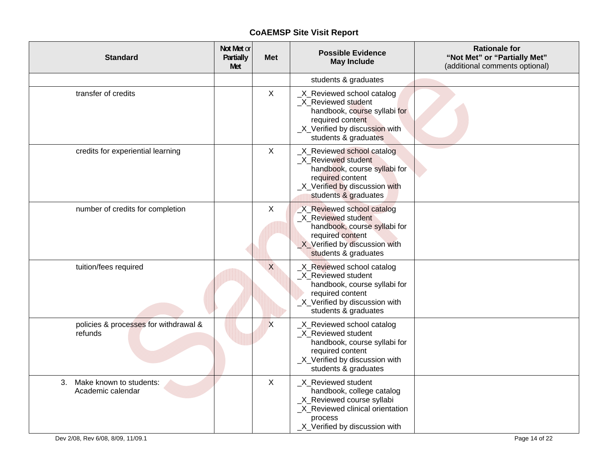| <b>Standard</b>                                    | Not Met or<br>Partially<br>Met | <b>Met</b>   | <b>Possible Evidence</b><br><b>May Include</b>                                                                                                                  | <b>Rationale for</b><br>"Not Met" or "Partially Met"<br>(additional comments optional) |
|----------------------------------------------------|--------------------------------|--------------|-----------------------------------------------------------------------------------------------------------------------------------------------------------------|----------------------------------------------------------------------------------------|
|                                                    |                                |              | students & graduates                                                                                                                                            |                                                                                        |
| transfer of credits                                |                                | $\mathsf{X}$ | _X_Reviewed school catalog<br>X Reviewed student<br>handbook, course syllabi for<br>required content<br>_X_Verified by discussion with<br>students & graduates  |                                                                                        |
| credits for experiential learning                  |                                | X            | X_Reviewed school catalog<br>_X_Reviewed student<br>handbook, course syllabi for<br>required content<br>_X_Verified by discussion with<br>students & graduates  |                                                                                        |
| number of credits for completion                   |                                | X            | X_Reviewed school catalog<br>X Reviewed student<br>handbook, course syllabi for<br>required content<br>X Verified by discussion with<br>students & graduates    |                                                                                        |
| tuition/fees required                              |                                | $\times$     | _X_Reviewed school catalog<br>X Reviewed student<br>handbook, course syllabi for<br>required content<br>_X_Verified by discussion with<br>students & graduates  |                                                                                        |
| policies & processes for withdrawal &<br>refunds   |                                | X            | _X_Reviewed school catalog<br>_X_Reviewed student<br>handbook, course syllabi for<br>required content<br>_X_Verified by discussion with<br>students & graduates |                                                                                        |
| Make known to students:<br>3.<br>Academic calendar |                                | $\mathsf{X}$ | _X_Reviewed student<br>handbook, college catalog<br>_X_Reviewed course syllabi<br>_X_Reviewed clinical orientation<br>process<br>X Verified by discussion with  |                                                                                        |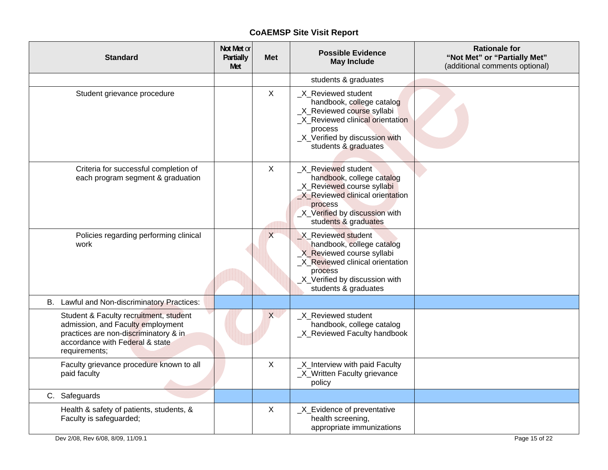| <b>Standard</b>                                                                                                                                                          | Not Met or<br>Partially<br>Met | Met          | <b>Possible Evidence</b><br><b>May Include</b>                                                                                                                                          | <b>Rationale for</b><br>"Not Met" or "Partially Met"<br>(additional comments optional) |
|--------------------------------------------------------------------------------------------------------------------------------------------------------------------------|--------------------------------|--------------|-----------------------------------------------------------------------------------------------------------------------------------------------------------------------------------------|----------------------------------------------------------------------------------------|
|                                                                                                                                                                          |                                |              | students & graduates                                                                                                                                                                    |                                                                                        |
| Student grievance procedure                                                                                                                                              |                                | $\mathsf{X}$ | _X_Reviewed student<br>handbook, college catalog<br>_X_Reviewed course syllabi<br>_X_Reviewed clinical orientation<br>process<br>_X_Verified by discussion with<br>students & graduates |                                                                                        |
| Criteria for successful completion of<br>each program segment & graduation                                                                                               |                                | $\sf X$      | X_Reviewed student<br>handbook, college catalog<br>X_Reviewed course syllabi<br>X Reviewed clinical orientation<br>process<br>_X_Verified by discussion with<br>students & graduates    |                                                                                        |
| Policies regarding performing clinical<br>work                                                                                                                           |                                | $\times$     | X Reviewed student<br>handbook, college catalog<br>X Reviewed course syllabi<br>_X_Reviewed clinical orientation<br>process<br>_X_Verified by discussion with<br>students & graduates   |                                                                                        |
| B. Lawful and Non-discriminatory Practices:                                                                                                                              |                                |              |                                                                                                                                                                                         |                                                                                        |
| Student & Faculty recruitment, student<br>admission, and Faculty employment<br>practices are non-discriminatory & in<br>accordance with Federal & state<br>requirements; |                                | X            | X Reviewed student<br>handbook, college catalog<br>_X_Reviewed Faculty handbook                                                                                                         |                                                                                        |
| Faculty grievance procedure known to all<br>paid faculty                                                                                                                 |                                | $\mathsf{X}$ | _X_Interview with paid Faculty<br>_X_Written Faculty grievance<br>policy                                                                                                                |                                                                                        |
| C. Safeguards                                                                                                                                                            |                                |              |                                                                                                                                                                                         |                                                                                        |
| Health & safety of patients, students, &<br>Faculty is safeguarded;                                                                                                      |                                | X            | _X_Evidence of preventative<br>health screening,<br>appropriate immunizations                                                                                                           |                                                                                        |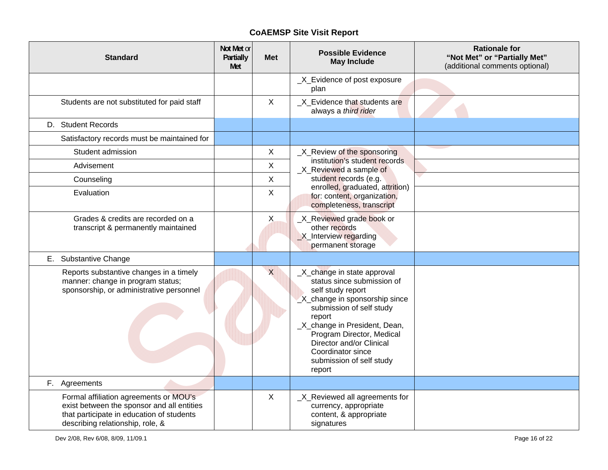| <b>Standard</b>                                                                                                                                                       | Not Met or<br>Partially<br>Met | <b>Met</b>   | <b>Possible Evidence</b><br><b>May Include</b>                                                                                                                                                                                                                                                             | <b>Rationale for</b><br>"Not Met" or "Partially Met"<br>(additional comments optional) |
|-----------------------------------------------------------------------------------------------------------------------------------------------------------------------|--------------------------------|--------------|------------------------------------------------------------------------------------------------------------------------------------------------------------------------------------------------------------------------------------------------------------------------------------------------------------|----------------------------------------------------------------------------------------|
|                                                                                                                                                                       |                                |              | _X_Evidence of post exposure<br>plan                                                                                                                                                                                                                                                                       |                                                                                        |
| Students are not substituted for paid staff                                                                                                                           |                                | X            | X Evidence that students are<br>always a third rider                                                                                                                                                                                                                                                       |                                                                                        |
| D. Student Records                                                                                                                                                    |                                |              |                                                                                                                                                                                                                                                                                                            |                                                                                        |
| Satisfactory records must be maintained for                                                                                                                           |                                |              |                                                                                                                                                                                                                                                                                                            |                                                                                        |
| Student admission                                                                                                                                                     |                                | $\mathsf{X}$ | _X_Review of the sponsoring                                                                                                                                                                                                                                                                                |                                                                                        |
| Advisement                                                                                                                                                            |                                | $\mathsf{X}$ | institution's student records<br>X_Reviewed a sample of                                                                                                                                                                                                                                                    |                                                                                        |
| Counseling                                                                                                                                                            |                                | $\mathsf{X}$ | student records (e.g.                                                                                                                                                                                                                                                                                      |                                                                                        |
| Evaluation                                                                                                                                                            |                                | $\mathsf{X}$ | enrolled, graduated, attrition)<br>for: content, organization,<br>completeness, transcript                                                                                                                                                                                                                 |                                                                                        |
| Grades & credits are recorded on a<br>transcript & permanently maintained                                                                                             |                                | X            | _X_Reviewed grade book or<br>other records<br>X_Interview regarding<br>permanent storage                                                                                                                                                                                                                   |                                                                                        |
| E. Substantive Change                                                                                                                                                 |                                |              |                                                                                                                                                                                                                                                                                                            |                                                                                        |
| Reports substantive changes in a timely<br>manner: change in program status;<br>sponsorship, or administrative personnel                                              |                                | $\times$     | _X_change in state approval<br>status since submission of<br>self study report<br>X_change in sponsorship since<br>submission of self study<br>report<br>_X_change in President, Dean,<br>Program Director, Medical<br>Director and/or Clinical<br>Coordinator since<br>submission of self study<br>report |                                                                                        |
| F. Agreements                                                                                                                                                         |                                |              |                                                                                                                                                                                                                                                                                                            |                                                                                        |
| Formal affiliation agreements or MOU's<br>exist between the sponsor and all entities<br>that participate in education of students<br>describing relationship, role, & |                                | $\mathsf{X}$ | _X_Reviewed all agreements for<br>currency, appropriate<br>content, & appropriate<br>signatures                                                                                                                                                                                                            |                                                                                        |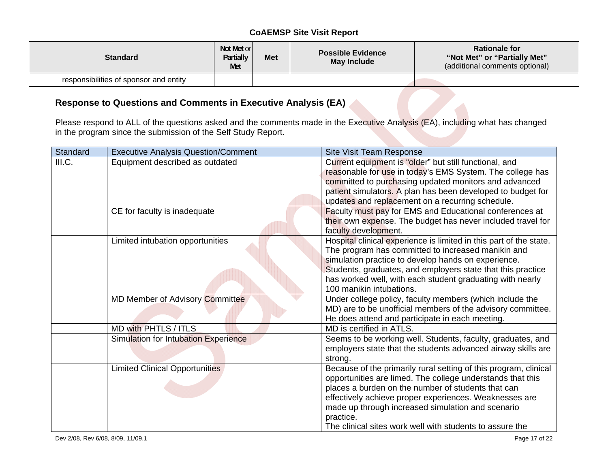| <b>Standard</b>                        | Not Met or<br>Partially<br>Met | <b>Met</b> | <b>Possible Evidence</b><br>May Include | <b>Rationale for</b><br>"Not Met" or "Partially Met"<br>(additional comments optional) |
|----------------------------------------|--------------------------------|------------|-----------------------------------------|----------------------------------------------------------------------------------------|
| responsibilities of sponsor and entity |                                |            |                                         |                                                                                        |

### **Response to Questions and Comments in Executive Analysis (EA)**

Please respond to ALL of the questions asked and the comments made in the Executive Analysis (EA), including what has changed in the program since the submission of the Self Study Report.

| Standard | <b>Executive Analysis Question/Comment</b> | Site Visit Team Response                                           |
|----------|--------------------------------------------|--------------------------------------------------------------------|
| III.C.   | Equipment described as outdated            | Current equipment is "older" but still functional, and             |
|          |                                            | reasonable for use in today's EMS System. The college has          |
|          |                                            | committed to purchasing updated monitors and advanced              |
|          |                                            | patient simulators. A plan has been developed to budget for        |
|          |                                            | updates and replacement on a recurring schedule.                   |
|          | CE for faculty is inadequate               | Faculty must pay for EMS and Educational conferences at            |
|          |                                            | their own expense. The budget has never included travel for        |
|          |                                            | faculty development.                                               |
|          | Limited intubation opportunities           | Hospital clinical experience is limited in this part of the state. |
|          |                                            | The program has committed to increased manikin and                 |
|          |                                            | simulation practice to develop hands on experience.                |
|          |                                            | Students, graduates, and employers state that this practice        |
|          |                                            | has worked well, with each student graduating with nearly          |
|          |                                            | 100 manikin intubations.                                           |
|          | <b>MD Member of Advisory Committee</b>     | Under college policy, faculty members (which include the           |
|          |                                            | MD) are to be unofficial members of the advisory committee.        |
|          |                                            | He does attend and participate in each meeting.                    |
|          | MD with PHTLS / ITLS                       | MD is certified in ATLS.                                           |
|          | Simulation for Intubation Experience       | Seems to be working well. Students, faculty, graduates, and        |
|          |                                            | employers state that the students advanced airway skills are       |
|          |                                            | strong.                                                            |
|          | <b>Limited Clinical Opportunities</b>      | Because of the primarily rural setting of this program, clinical   |
|          |                                            | opportunities are limed. The college understands that this         |
|          |                                            | places a burden on the number of students that can                 |
|          |                                            | effectively achieve proper experiences. Weaknesses are             |
|          |                                            | made up through increased simulation and scenario                  |
|          |                                            | practice.                                                          |
|          |                                            | The clinical sites work well with students to assure the           |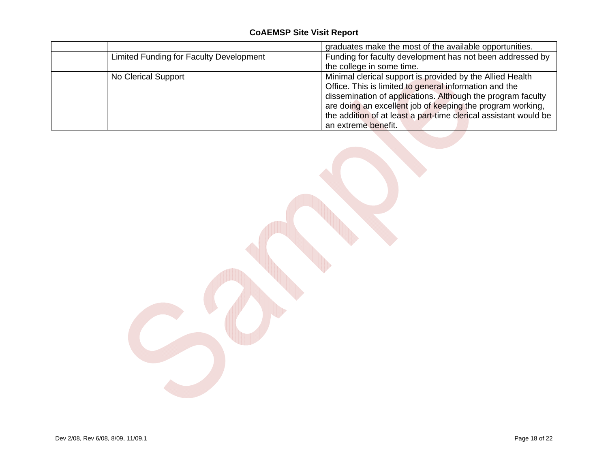|                                         | graduates make the most of the available opportunities.          |
|-----------------------------------------|------------------------------------------------------------------|
| Limited Funding for Faculty Development | Funding for faculty development has not been addressed by        |
|                                         | the college in some time.                                        |
| No Clerical Support                     | Minimal clerical support is provided by the Allied Health        |
|                                         | Office. This is limited to general information and the           |
|                                         | dissemination of applications. Although the program faculty      |
|                                         | are doing an excellent job of keeping the program working,       |
|                                         | the addition of at least a part-time clerical assistant would be |
|                                         | an extreme benefit.                                              |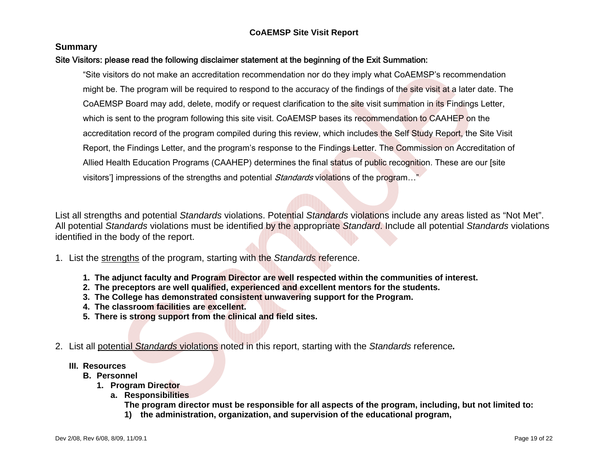#### **Summary**

### Site Visitors: please read the following disclaimer statement at the beginning of the Exit Summation:

"Site visitors do not make an accreditation recommendation nor do they imply what CoAEMSP's recommendation might be. The program will be required to respond to the accuracy of the findings of the site visit at a later date. The CoAEMSP Board may add, delete, modify or request clarification to the site visit summation in its Findings Letter, which is sent to the program following this site visit. CoAEMSP bases its recommendation to CAAHEP on the accreditation record of the program compiled during this review, which includes the Self Study Report, the Site Visit Report, the Findings Letter, and the program's response to the Findings Letter. The Commission on Accreditation of Allied Health Education Programs (CAAHEP) determines the final status of public recognition. These are our [site visitors'] impressions of the strengths and potential *Standards* violations of the program..."

List all strengths and potential *Standards* violations. Potential *Standards* violations include any areas listed as "Not Met". All potential *Standards* violations must be identified by the appropriate *Standard*. Include all potential *Standards* violations identified in the body of the report.

1. List the strengths of the program, starting with the *Standards* reference.

- **1. The adjunct faculty and Program Director are well respected within the communities of interest.**
- **2. The preceptors are well qualified, experienced and excellent mentors for the students.**
- **3. The College has demonstrated consistent unwavering support for the Program.**
- **4. The classroom facilities are excellent.**
- **5. There is strong support from the clinical and field sites.**
- 2. List all potential *Standards* violations noted in this report, starting with the *Standards* reference*.*
	- **III. Resources** 
		- **B. Personnel** 
			- **1. Program Director** 
				- **a. Responsibilities**

**The program director must be responsible for all aspects of the program, including, but not limited to:** 

**1) the administration, organization, and supervision of the educational program,**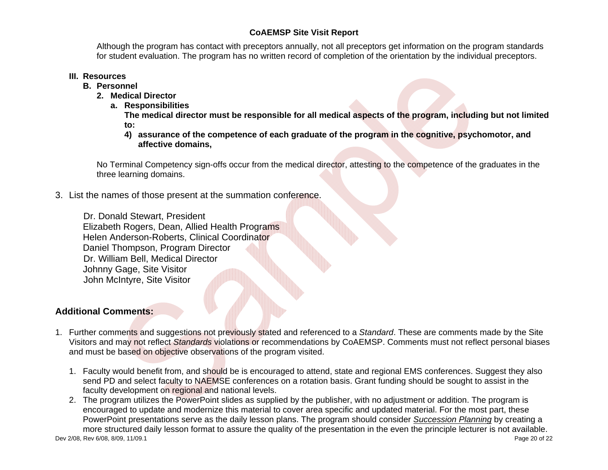Although the program has contact with preceptors annually, not all preceptors get information on the program standards for student evaluation. The program has no written record of completion of the orientation by the individual preceptors.

### **III. Resources**

- **B. Personnel** 
	- **2. Medical Director** 
		- **a. Responsibilities**

**The medical director must be responsible for all medical aspects of the program, including but not limited to:** 

**4) assurance of the competence of each graduate of the program in the cognitive, psychomotor, and affective domains,** 

No Terminal Competency sign-offs occur from the medical director, attesting to the competence of the graduates in the three learning domains.

3. List the names of those present at the summation conference.

Dr. Donald Stewart, President Elizabeth Rogers, Dean, Allied Health Programs Helen Anderson-Roberts, Clinical Coordinator Daniel Thompson, Program Director Dr. William Bell, Medical Director Johnny Gage, Site Visitor John McIntyre, Site Visitor

## **Additional Comments:**

- 1. Further comments and suggestions not previously stated and referenced to a *Standard*. These are comments made by the Site Visitors and may not reflect *Standards* violations or recommendations by CoAEMSP. Comments must not reflect personal biases and must be based on objective observations of the program visited.
	- 1. Faculty would benefit from, and should be is encouraged to attend, state and regional EMS conferences. Suggest they also send PD and select faculty to NAEMSE conferences on a rotation basis. Grant funding should be sought to assist in the faculty development on regional and national levels.
- Dev 2/08, Rev 6/08, 8/09, 11/09.1 Page 20 of 22 2. The program utilizes the PowerPoint slides as supplied by the publisher, with no adjustment or addition. The program is encouraged to update and modernize this material to cover area specific and updated material. For the most part, these PowerPoint presentations serve as the daily lesson plans. The program should consider *Succession Planning* by creating a more structured daily lesson format to assure the quality of the presentation in the even the principle lecturer is not available.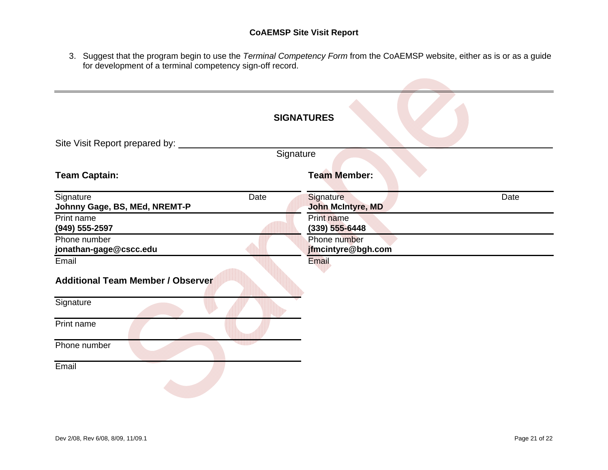3. Suggest that the program begin to use the *Terminal Competency Form* from the CoAEMSP website, either as is or as a guide for development of a terminal competency sign-off record.

|                                                    | <b>SIGNATURES</b>                      |
|----------------------------------------------------|----------------------------------------|
| Site Visit Report prepared by:                     |                                        |
| Signature                                          |                                        |
| <b>Team Captain:</b>                               | <b>Team Member:</b>                    |
| Signature<br>Date<br>Johnny Gage, BS, MEd, NREMT-P | Date<br>Signature<br>John McIntyre, MD |
| Print name<br>(949) 555-2597                       | Print name<br>$(339)$ 555-6448         |
| Phone number<br>jonathan-gage@cscc.edu             | Phone number<br>jfmcintyre@bgh.com     |
| Email<br><b>Additional Team Member / Observer</b>  | Email                                  |
| Signature                                          |                                        |
| Print name                                         |                                        |
| Phone number                                       |                                        |
| Email                                              |                                        |